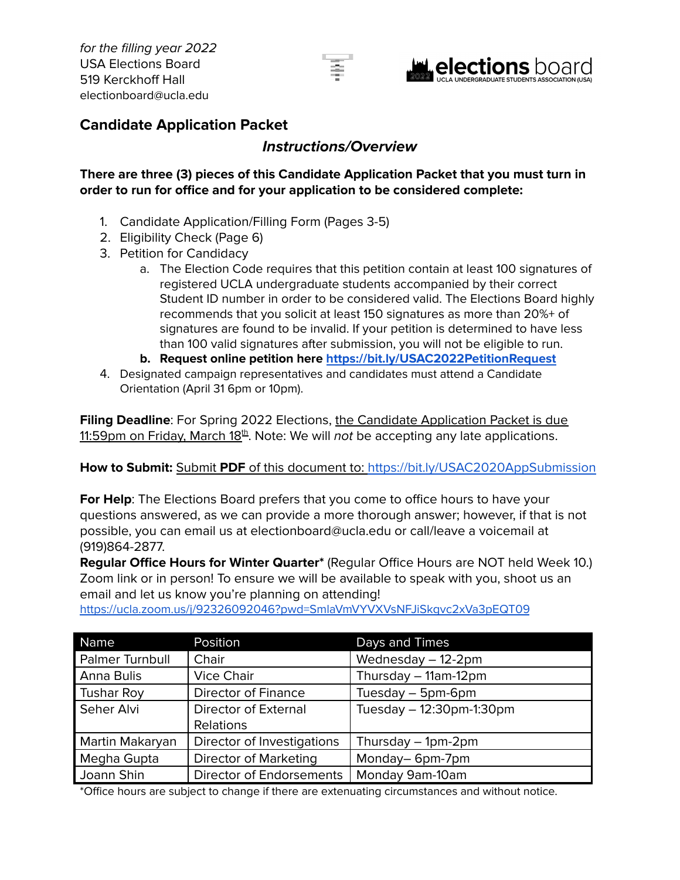



### **Candidate Application Packet**

### **Instructions/Overview**

### **There are three (3) pieces of this Candidate Application Packet that you must turn in order to run for office and for your application to be considered complete:**

- 1. Candidate Application/Filling Form (Pages 3-5)
- 2. Eligibility Check (Page 6)
- 3. Petition for Candidacy
	- a. The Election Code requires that this petition contain at least 100 signatures of registered UCLA undergraduate students accompanied by their correct Student ID number in order to be considered valid. The Elections Board highly recommends that you solicit at least 150 signatures as more than 20%+ of signatures are found to be invalid. If your petition is determined to have less than 100 valid signatures after submission, you will not be eligible to run.
	- **b. Request online petition here <https://bit.ly/USAC2022PetitionRequest>**
- 4. Designated campaign representatives and candidates must attend a Candidate Orientation (April 31 6pm or 10pm).

**Filing Deadline**: For Spring 2022 Elections, the Candidate Application Packet is due 11:59pm on Friday, March 18<sup>th</sup>. Note: We will *not* be accepting any late applications.

### **How to Submit:** Submit **PDF** of this document to: <https://bit.ly/USAC2020AppSubmission>

**For Help**: The Elections Board prefers that you come to office hours to have your questions answered, as we can provide a more thorough answer; however, if that is not possible, you can email us at electionboard@ucla.edu or call/leave a voicemail at (919)864-2877.

**Regular Office Hours for Winter Quarter\*** (Regular Office Hours are NOT held Week 10.) Zoom link or in person! To ensure we will be available to speak with you, shoot us an email and let us know you're planning on attending!

Name **Position Position Days and Times** Palmer Turnbull | Chair Manuel | Wednesday – 12-2pm Anna Bulis | Vice Chair | Thursday – 11am-12pm Tushar Roy | Director of Finance | Tuesday – 5pm-6pm Seher Alvi | Director of External Relations Tuesday – 12:30pm-1:30pm Martin Makaryan | Director of Investigations | Thursday – 1pm-2pm Megha Gupta | Director of Marketing | Monday– 6pm-7pm Joann Shin Joirector of Endorsements | Monday 9am-10am

<https://ucla.zoom.us/j/92326092046?pwd=SmlaVmVYVXVsNFJiSkgvc2xVa3pEQT09>

\*Office hours are subject to change if there are extenuating circumstances and without notice.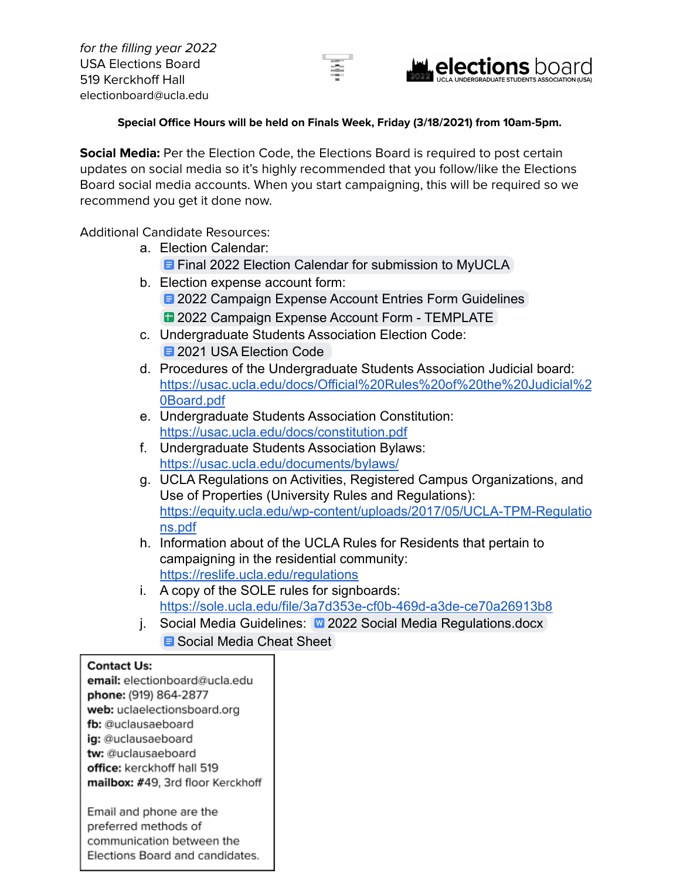



### **Special Office Hours will be held on Finals Week, Friday (3/18/2021) from 10am-5pm.**

**Social Media:** Per the Election Code, the Elections Board is required to post certain updates on social media so it's highly recommended that you follow/like the Elections Board social media accounts. When you start campaigning, this will be required so we recommend you get it done now.

Additional Candidate Resources:

- a. Election Calendar: **E** [Final 2022 Election Calendar for submission to MyUCLA](https://docs.google.com/document/d/196S4xGot5W0_UN5lG-ntjK35uRS20PvHNuERsu8Z8n4/edit?usp=sharing)
- b. Election expense account form: **E [2022 Campaign Expense Account Entries Form Guidelines](https://docs.google.com/document/d/13XGzl9Nn96sbH4mce0iKUg3Z-LFf9bFyLKUr5Ju_3K8/edit?usp=sharing)** 
	- **1[2022 Campaign Expense Account Form TEMPLATE](https://docs.google.com/spreadsheets/d/1neHvOiP4xwuUelAPcmmbdZgUdYTddU9XOPUkkQPECw4/edit?usp=sharing)**
- c. Undergraduate Students Association Election Code: **E** 2021 USA Election Code
- d. Procedures of the Undergraduate Students Association Judicial board: [https://usac.ucla.edu/docs/Official%20Rules%20of%20the%20Judicial%2](https://usac.ucla.edu/docs/Official%20Rules%20of%20the%20Judicial%20Board.pdf) [0Board.pdf](https://usac.ucla.edu/docs/Official%20Rules%20of%20the%20Judicial%20Board.pdf)
- e. Undergraduate Students Association Constitution: <https://usac.ucla.edu/docs/constitution.pdf>
- f. Undergraduate Students Association Bylaws: <https://usac.ucla.edu/documents/bylaws/>
- g. UCLA Regulations on Activities, Registered Campus Organizations, and Use of Properties (University Rules and Regulations): [https://equity.ucla.edu/wp-content/uploads/2017/05/UCLA-TPM-Regulatio](https://equity.ucla.edu/wp-content/uploads/2017/05/UCLA-TPM-Regulations.pdf) [ns.pdf](https://equity.ucla.edu/wp-content/uploads/2017/05/UCLA-TPM-Regulations.pdf)
- h. Information about of the UCLA Rules for Residents that pertain to campaigning in the residential community: <https://reslife.ucla.edu/regulations>
- i. A copy of the SOLE rules for signboards: <https://sole.ucla.edu/file/3a7d353e-cf0b-469d-a3de-ce70a26913b8>
- j. Social Media Guidelines: [2022 Social Media Regulations.docx](https://docs.google.com/document/d/13S5DIh9MuuszkByVxTAePrjlHilTLwaH/edit?usp=sharing&ouid=115545402946465938048&rtpof=true&sd=true) **B** [Social Media Cheat Sheet](https://docs.google.com/document/d/1Xt9Dbzk-ARFfTP367C1Han0DiHbWGX_o5GsBMMWq4D4/edit?usp=sharing)

#### **Contact Us:**

email: electionboard@ucla.edu phone: (919) 864-2877 web: uclaelectionsboard.org fb: @uclausaeboard ig: @uclausaeboard tw: @uclausaeboard office: kerckhoff hall 519 mailbox: #49, 3rd floor Kerckhoff Email and phone are the preferred methods of communication between the

Elections Board and candidates.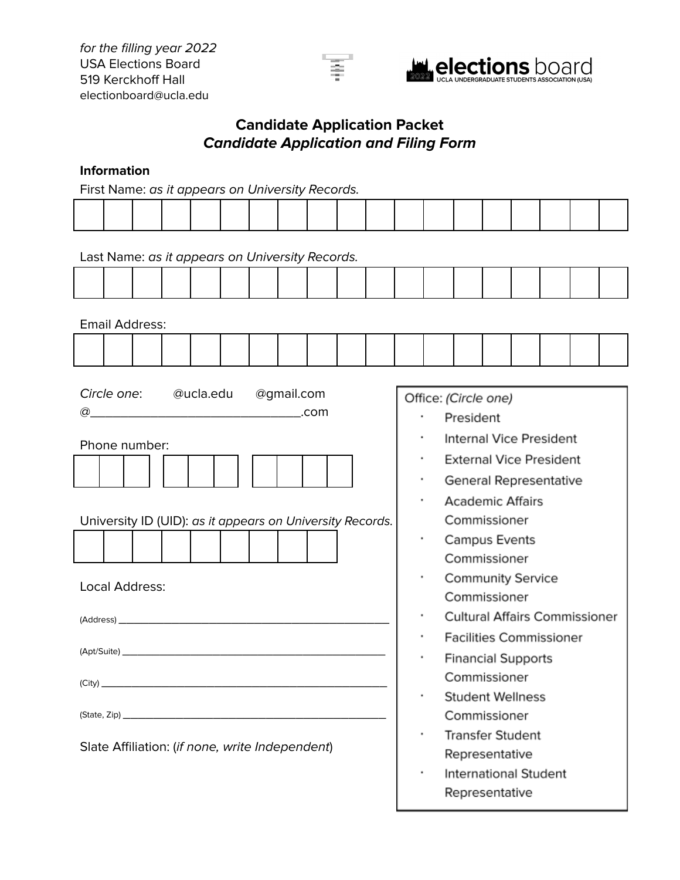

### **Candidate Application Packet Candidate Application and Filing Form**

### **Information**

First Name: as it appears on University Records.

|                       |  |                                 |  | Last Name: as it appears on University Records.                                                                                                  |  |  |  |  |  |  |                                 |                      |           |                                                                                                                                                                                                                                                                                                             |                                                                                                                                                               |  |
|-----------------------|--|---------------------------------|--|--------------------------------------------------------------------------------------------------------------------------------------------------|--|--|--|--|--|--|---------------------------------|----------------------|-----------|-------------------------------------------------------------------------------------------------------------------------------------------------------------------------------------------------------------------------------------------------------------------------------------------------------------|---------------------------------------------------------------------------------------------------------------------------------------------------------------|--|
|                       |  |                                 |  |                                                                                                                                                  |  |  |  |  |  |  |                                 |                      |           |                                                                                                                                                                                                                                                                                                             |                                                                                                                                                               |  |
| <b>Email Address:</b> |  |                                 |  |                                                                                                                                                  |  |  |  |  |  |  |                                 |                      |           |                                                                                                                                                                                                                                                                                                             |                                                                                                                                                               |  |
|                       |  |                                 |  |                                                                                                                                                  |  |  |  |  |  |  |                                 |                      |           |                                                                                                                                                                                                                                                                                                             |                                                                                                                                                               |  |
|                       |  | Phone number:<br>Local Address: |  | Circle one: @ucla.edu @gmail.com<br>University ID (UID): as it appears on University Records.<br>Slate Affiliation: (if none, write Independent) |  |  |  |  |  |  | ٠<br>٠<br>٠<br>٠<br>٠<br>٠<br>٠ | Office: (Circle one) | President | <b>Academic Affairs</b><br>Commissioner<br><b>Campus Events</b><br>Commissioner<br><b>Community Service</b><br>Commissioner<br><b>Financial Supports</b><br>Commissioner<br><b>Student Wellness</b><br>Commissioner<br><b>Transfer Student</b><br>Representative<br>International Student<br>Representative | Internal Vice President<br><b>External Vice President</b><br>General Representative<br><b>Cultural Affairs Commissioner</b><br><b>Facilities Commissioner</b> |  |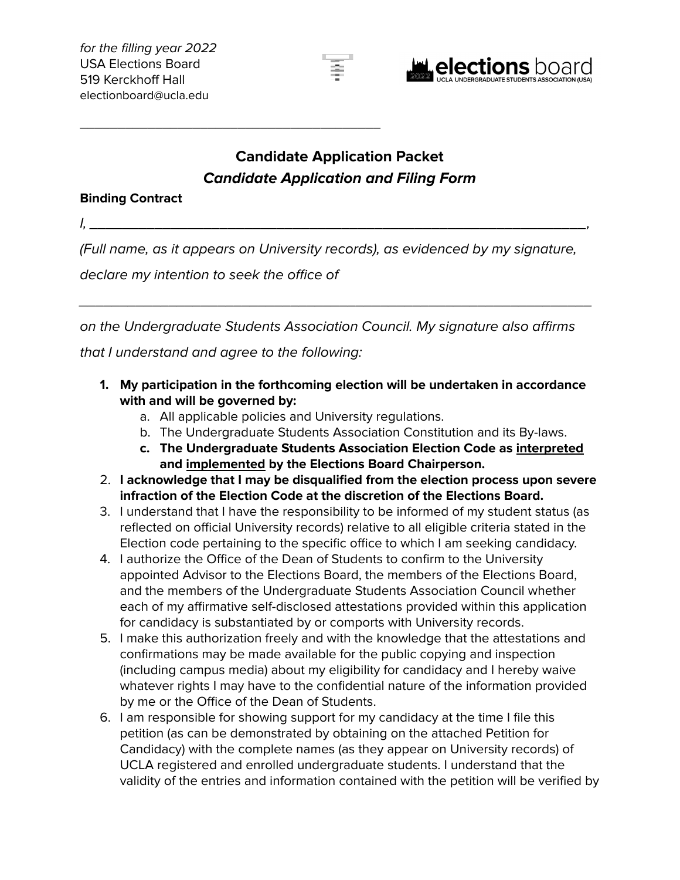



# **Candidate Application Packet Candidate Application and Filing Form**

### **Binding Contract**

I, \_\_\_\_\_\_\_\_\_\_\_\_\_\_\_\_\_\_\_\_\_\_\_\_\_\_\_\_\_\_\_\_\_\_\_\_\_\_\_\_\_\_\_\_\_\_\_\_\_\_\_\_\_\_\_\_\_\_\_\_\_,

(Full name, as it appears on University records), as evidenced by my signature,

declare my intention to seek the office of

\_\_\_\_\_\_\_\_\_\_\_\_\_\_\_\_\_\_\_\_\_\_\_\_\_\_\_\_\_\_\_\_\_\_\_\_\_\_\_\_

on the Undergraduate Students Association Council. My signature also affirms that I understand and agree to the following:

\_\_\_\_\_\_\_\_\_\_\_\_\_\_\_\_\_\_\_\_\_\_\_\_\_\_\_\_\_\_\_\_\_\_\_\_\_\_\_\_\_\_\_\_\_\_\_\_\_\_\_\_\_\_\_\_\_\_\_\_\_\_\_

- **1. My participation in the forthcoming election will be undertaken in accordance with and will be governed by:**
	- a. All applicable policies and University regulations.
	- b. The Undergraduate Students Association Constitution and its By-laws.
	- **c. The Undergraduate Students Association Election Code as interpreted and implemented by the Elections Board Chairperson.**
- 2. **I acknowledge that I may be disqualified from the election process upon severe infraction of the Election Code at the discretion of the Elections Board.**
- 3. I understand that I have the responsibility to be informed of my student status (as reflected on official University records) relative to all eligible criteria stated in the Election code pertaining to the specific office to which I am seeking candidacy.
- 4. I authorize the Office of the Dean of Students to confirm to the University appointed Advisor to the Elections Board, the members of the Elections Board, and the members of the Undergraduate Students Association Council whether each of my affirmative self-disclosed attestations provided within this application for candidacy is substantiated by or comports with University records.
- 5. I make this authorization freely and with the knowledge that the attestations and confirmations may be made available for the public copying and inspection (including campus media) about my eligibility for candidacy and I hereby waive whatever rights I may have to the confidential nature of the information provided by me or the Office of the Dean of Students.
- 6. I am responsible for showing support for my candidacy at the time I file this petition (as can be demonstrated by obtaining on the attached Petition for Candidacy) with the complete names (as they appear on University records) of UCLA registered and enrolled undergraduate students. I understand that the validity of the entries and information contained with the petition will be verified by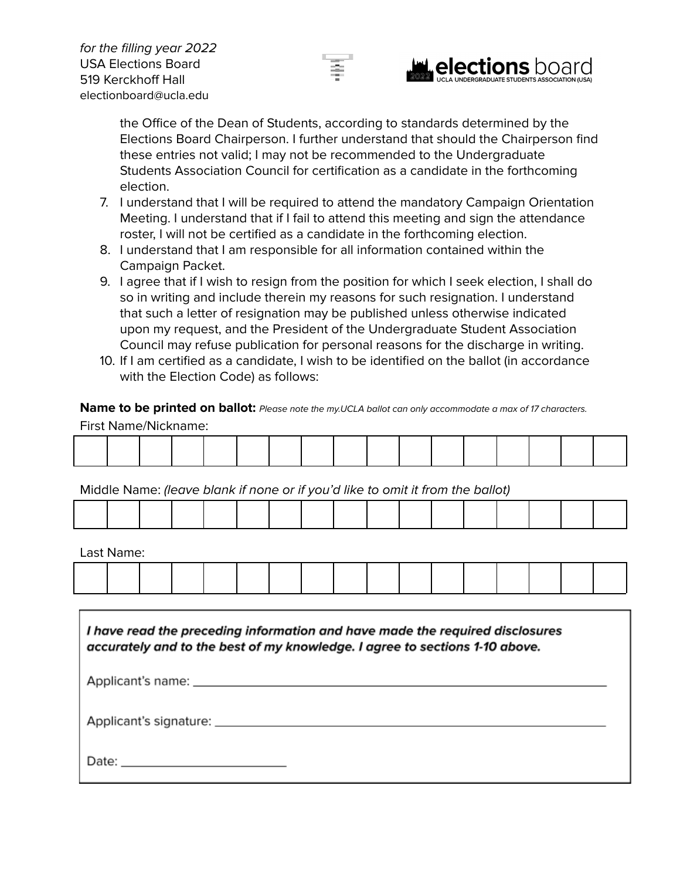



the Office of the Dean of Students, according to standards determined by the Elections Board Chairperson. I further understand that should the Chairperson find these entries not valid; I may not be recommended to the Undergraduate Students Association Council for certification as a candidate in the forthcoming election.

- 7. I understand that I will be required to attend the mandatory Campaign Orientation Meeting. I understand that if I fail to attend this meeting and sign the attendance roster, I will not be certified as a candidate in the forthcoming election.
- 8. I understand that I am responsible for all information contained within the Campaign Packet.
- 9. I agree that if I wish to resign from the position for which I seek election, I shall do so in writing and include therein my reasons for such resignation. I understand that such a letter of resignation may be published unless otherwise indicated upon my request, and the President of the Undergraduate Student Association Council may refuse publication for personal reasons for the discharge in writing.
- 10. If I am certified as a candidate, I wish to be identified on the ballot (in accordance with the Election Code) as follows:

**Name to be printed on ballot:** Please note the my.UCLA ballot can only accommodate a max of 17 characters. First Name/Nickname:

|  |  |  |  |  | the control of the control of the control of the control of the control of the control of the control of the control of the control of the control of the control of the control of the control of the control of the control |  |  |  |
|--|--|--|--|--|-------------------------------------------------------------------------------------------------------------------------------------------------------------------------------------------------------------------------------|--|--|--|
|  |  |  |  |  |                                                                                                                                                                                                                               |  |  |  |
|  |  |  |  |  |                                                                                                                                                                                                                               |  |  |  |
|  |  |  |  |  |                                                                                                                                                                                                                               |  |  |  |
|  |  |  |  |  |                                                                                                                                                                                                                               |  |  |  |
|  |  |  |  |  |                                                                                                                                                                                                                               |  |  |  |
|  |  |  |  |  |                                                                                                                                                                                                                               |  |  |  |
|  |  |  |  |  |                                                                                                                                                                                                                               |  |  |  |
|  |  |  |  |  |                                                                                                                                                                                                                               |  |  |  |
|  |  |  |  |  |                                                                                                                                                                                                                               |  |  |  |

Middle Name: (leave blank if none or if you'd like to omit it from the ballot)

|  |  |  |  |  |  | the contract of the contract of the contract of the contract of the contract of the contract of the contract of |  |  |
|--|--|--|--|--|--|-----------------------------------------------------------------------------------------------------------------|--|--|

Last Name:

| I have read the preceding information and have made the required disclosures<br>accurately and to the best of my knowledge. I agree to sections 1-10 above. |
|-------------------------------------------------------------------------------------------------------------------------------------------------------------|
|                                                                                                                                                             |
|                                                                                                                                                             |
|                                                                                                                                                             |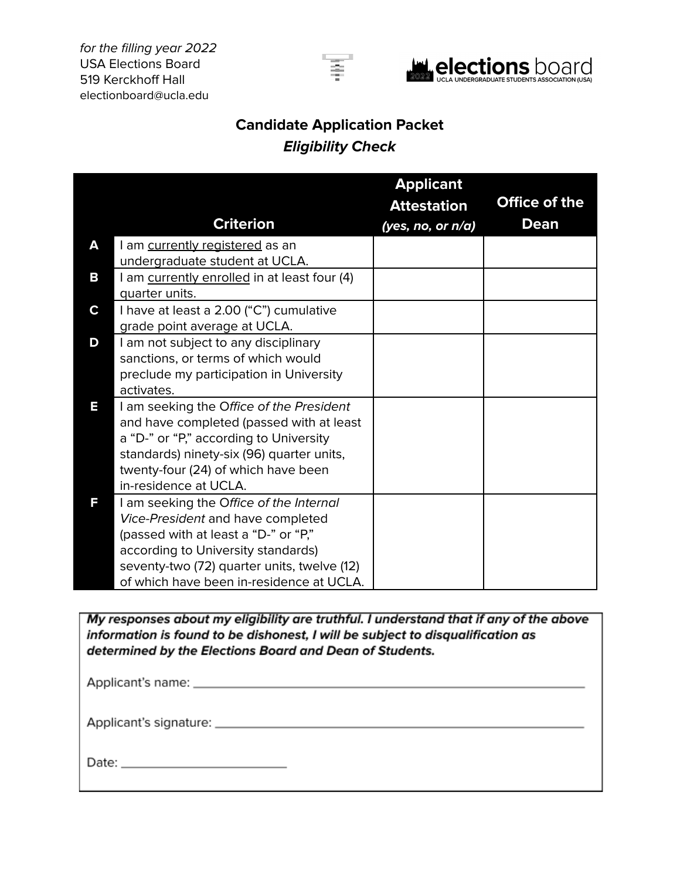for the filling year 2022 USA Elections Board 519 Kerckhoff Hall electionboard@ucla.edu





## **Candidate Application Packet Eligibility Check**

|   |                                                                           | <b>Applicant</b>   |               |
|---|---------------------------------------------------------------------------|--------------------|---------------|
|   |                                                                           | <b>Attestation</b> | Office of the |
|   | <b>Criterion</b>                                                          | (yes, no, or n/a)  | Dean          |
| A | I am currently registered as an                                           |                    |               |
|   | undergraduate student at UCLA.                                            |                    |               |
| В | I am currently enrolled in at least four (4)                              |                    |               |
|   | quarter units.                                                            |                    |               |
| C | I have at least a 2.00 ("C") cumulative                                   |                    |               |
|   | grade point average at UCLA.                                              |                    |               |
| D | I am not subject to any disciplinary                                      |                    |               |
|   | sanctions, or terms of which would                                        |                    |               |
|   | preclude my participation in University                                   |                    |               |
|   | activates.                                                                |                    |               |
| Ε | I am seeking the Office of the President                                  |                    |               |
|   | and have completed (passed with at least                                  |                    |               |
|   | a "D-" or "P," according to University                                    |                    |               |
|   | standards) ninety-six (96) quarter units,                                 |                    |               |
|   | twenty-four (24) of which have been                                       |                    |               |
| Е | in-residence at UCLA.                                                     |                    |               |
|   | I am seeking the Office of the Internal                                   |                    |               |
|   | Vice-President and have completed<br>(passed with at least a "D-" or "P," |                    |               |
|   | according to University standards)                                        |                    |               |
|   | seventy-two (72) quarter units, twelve (12)                               |                    |               |
|   | of which have been in-residence at UCLA.                                  |                    |               |
|   |                                                                           |                    |               |

My responses about my eligibility are truthful. I understand that if any of the above information is found to be dishonest, I will be subject to disqualification as determined by the Elections Board and Dean of Students.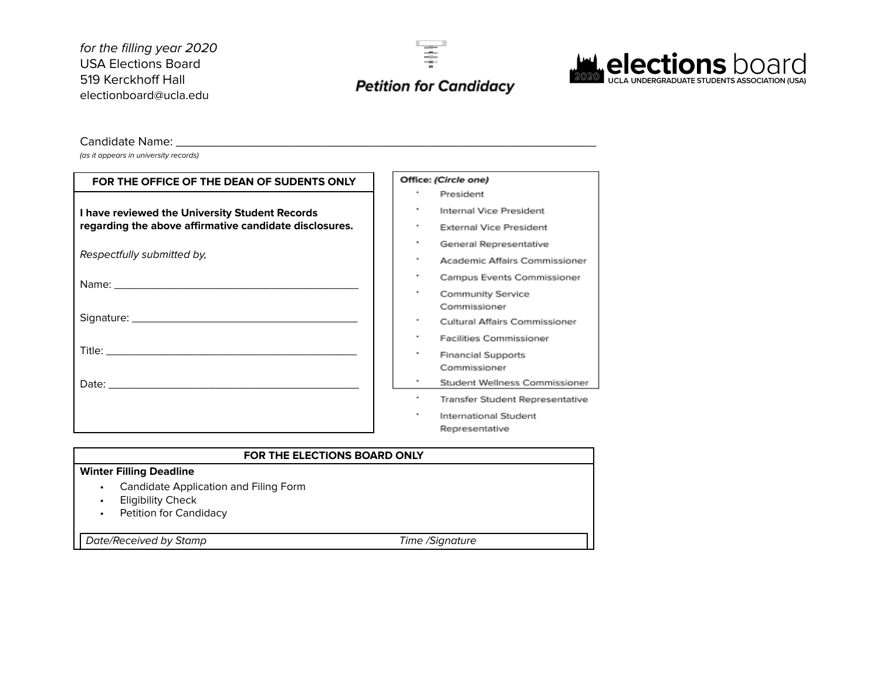for the filling year 2020 USA Elections Board 519 Kerckhoff Hall electionboard@ucla.edu





#### Candidate Name:

(as it appears in university records)

| FOR THE OFFICE OF THE DEAN OF SUDENTS ONLY             | Office: (Circle one)                      |
|--------------------------------------------------------|-------------------------------------------|
|                                                        | President                                 |
| I have reviewed the University Student Records         | Internal Vice President                   |
| regarding the above affirmative candidate disclosures. | <b>External Vice President</b>            |
|                                                        | ٠<br>General Representative               |
| Respectfully submitted by,                             | ٠<br>Academic Affairs Commissioner        |
|                                                        | ٠<br>Campus Events Commissioner           |
|                                                        | ٠<br>Community Service<br>Commissioner    |
|                                                        | Cultural Affairs Commissioner             |
|                                                        | ٠<br><b>Facilities Commissioner</b>       |
|                                                        | <b>Financial Supports</b><br>Commissioner |
|                                                        | Student Wellness Commissioner             |
|                                                        | Transfer Student Representative           |
|                                                        | International Student                     |
|                                                        | Representative                            |
|                                                        |                                           |

### **FOR THE ELECTIONS BOARD ONLY**

#### **Winter Filling Deadline**

- Candidate Application and Filing Form
- Eligibility Check
- Petition for Candidacy

Date/Received by Stamp Time /Signature